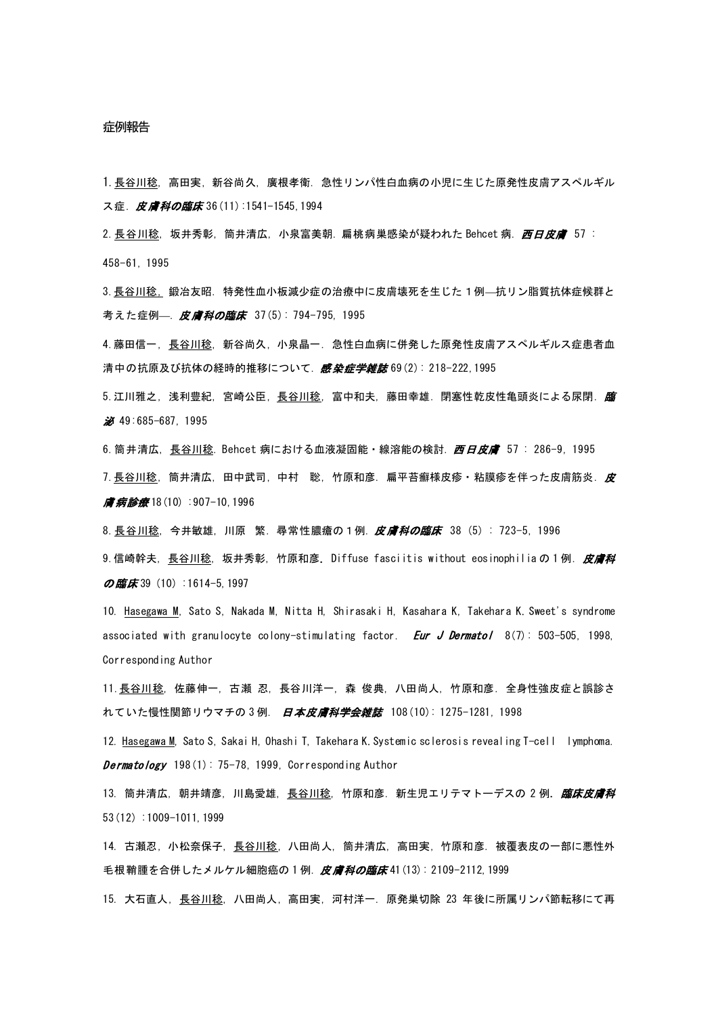## 症例報告

1.長谷川稔, 高田実, 新谷尚久, 廣根孝衛. 急性リンパ性白血病の小児に生じた原発性皮膚アスペルギル ス症. [皮膚科の臨床](http://www.jamas.or.jp/user/database/Search/detail/scode/J01266) 36 (11):1541-1545, 1994

2. 長谷川稔, 坂井秀彰, 筒井清広, 小泉富美朝. 扁桃病巣感染が疑われた Behcet 病. *西日皮膚* 57 : 458-61, 1995

3.長谷川稔, 鍛冶友昭. 特発性血小板減少症の治療中に皮膚壊死を生じた1例—抗リン脂質抗体症候群と 考えた症例—. 皮膚科の臨床 37(5): 794-795, 1995

4.藤田信一, 長谷川稔, 新谷尚久, 小泉晶一. 急性白血病に併発した原発性皮膚アスペルギルス症患者血 清中の抗原及び抗体の経時的推移について. 感*染症学雑誌* 69(2): 218-222,1995

5. 江川雅之,浅利豊紀,宮崎公臣,<u>長谷川稔</u>,富中和夫,藤田幸雄.閉塞性乾皮性亀頭炎による尿閉.*臨* 泌 49:685-687, 1995

6. 筒井清広, 長谷川稔. Behcet 病における血液凝固能・線溶能の検討. *西日皮膚* 57 : 286-9, 1995 7. 長谷川稔,筒井清広,田中武司,中村 聡,竹原和彦.扁平苔癬様皮疹・粘膜疹を伴った皮膚筋炎.*皮* 膚病診療 18(10) :907-10,1996

8.長谷川稔, 今井敏雄, 川原 繁. 尋常性膿瘡の1例. *皮膚科の臨床* 38 (5) : 723-5, 1996

9.信崎幹夫,長谷川稔,坂井秀彰,竹原和彦.Diffuse fasciitis without eosinophiliaの1例.*皮膚科* の臨床 39 (10) : 1614-5, 1997

10. Hasegawa M, Sato S, Nakada M, Nitta H, Shirasaki H, Kasahara K, Takehara K. Sweet's syndrome associated with granulocyte colony-stimulating factor. *Eur J Dermatol* 8(7): 503-505, 1998, Corresponding Author

11.長谷川稔, 佐藤伸一, 古瀬 忍, 長谷川洋一, 森 俊典, 八田尚人, 竹原和彦. 全身性強皮症と誤診さ れていた慢性関節リウマチの3例. *日本皮膚科学会雑誌* 108(10): 1275-1281, 1998

12. Hasegawa M, Sato S, Sakai H, Ohashi T, Takehara K. Systemic sclerosis revealing T-cell lymphoma. **Dermatology** 198(1):  $75-78$ , 1999, Corresponding Author

13. 筒井清広, 朝井靖彦, 川島愛雄, 長谷川稔, 竹原和彦. 新生児エリテマトーデスの 2 例. 臨床皮膚科 53(12) :1009-1011,1999

14. 古瀬忍, 小松奈保子, 長谷川稔, 八田尚人, 筒井清広, 高田実, 竹原和彦. 被覆表皮の一部に悪性外 毛根鞘腫を合併したメルケル細胞癌の 1 例. 皮膚科の臨床 41 (13): 2109-2112, 1999

15. 大石直人, 長谷川稔, 八田尚人, 高田実, 河村洋一. 原発巣切除 23 年後に所属リンパ節転移にて再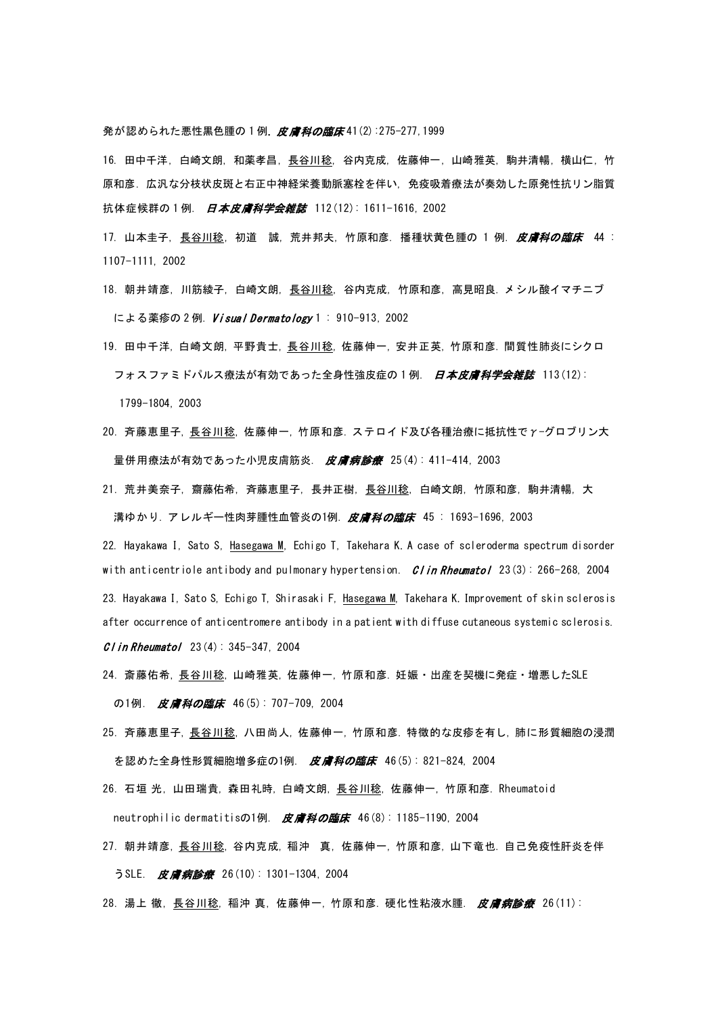発が認められた悪性黒色腫の1例. 皮膚科の臨床41(2):275-277,1999

16. 田中千洋, 白崎文朗, 和薬孝昌, <u>長谷川稔</u>, 谷内克成, 佐藤伸一, 山崎雅英, 駒井清暢, 横山仁, 竹 原和彦. 広汎な分枝状皮斑と右正中神経栄養動脈塞栓を伴い, 免疫吸着療法が奏効した原発性抗リン脂質 抗体症候群の1例. 日本皮膚科学会雑誌 112(12): 1611-1616, 2002

- 17. 山本圭子, 長谷川稔, 初道 誠, 荒井邦夫, 竹原和彦. 播種状黄色腫の 1 例. 皮膚科の臨床 44 : 1107-1111, 2002
- 18. 朝井靖彦,川筋綾子,白崎文朗,長谷川稔,谷内克成,竹原和彦,高見昭良. メシル酸イマチニブ による薬疹の2例. Visual Dermatology 1: 910-913, 2002
- 19. 田中千洋, 白崎文朗, 平野貴士, 長谷川稔, 佐藤伸一, 安井正英, 竹原和彦. 間質性肺炎にシクロ フォスファミドパルス療法が有効であった全身性強皮症の 1 例. 日本皮膚科学会雑誌 113(12): 1799-1804, 2003
- 20. 斉藤恵里子, 長谷川稔, 佐藤伸一, 竹原和彦. ステロイド及び各種治療に抵抗性でγ-グロブリン大 量併用療法が有効であった小児皮膚筋炎. 皮膚病診療 25(4): 411-414, 2003
- 21. 荒井美奈子,齋藤佑希,斉藤恵里子,長井正樹,長谷川稔,白崎文朗,竹原和彦,駒井清暢,大 溝ゆかり. アレルギー性肉芽腫性血管炎の1例. 皮膚科の臨床 45: 1693-1696, 2003

22. Hayakawa I, Sato S, Hasegawa M, Echigo T, Takehara K. A case of scleroderma spectrum disorder with anticentriole antibody and pulmonary hypertension. *Clin Rheumatol* 23(3): 266-268, 2004 23. Hayakawa I, Sato S, Echigo T, Shirasaki F, Hasegawa M, Takehara K. Improvement of skin sclerosis after occurrence of anticentromere antibody in a patient with diffuse cutaneous systemic sclerosis.  $C$  in Rheumatol 23(4): 345-347, 2004

- 24. 斎藤佑希, 長谷川稔, 山崎雅英, 佐藤伸一, 竹原和彦. 妊娠・出産を契機に発症・増悪したSLE の1例. 皮膚科の臨床 46(5): 707-709, 2004
- 25. 斉藤恵里子, 長谷川稔, 八田尚人, 佐藤伸一, 竹原和彦. 特徴的な皮疹を有し, 肺に形質細胞の浸潤 を認めた全身性形質細胞増多症の1例. 皮膚科の臨床 46(5): 821-824, 2004
- 26. 石垣 光, 山田瑞貴, 森田礼時, 白崎文朗, 長谷川稔, 佐藤伸一, 竹原和彦. Rheumatoid neutrophilic dermatitisの1例. 皮膚科の臨床 46(8): 1185-1190, 2004
- 27. 朝井靖彦, 長谷川稔, 谷内克成, 稲沖 真, 佐藤伸一, 竹原和彦, 山下竜也. 自己免疫性肝炎を伴 うSLE. 皮膚病診療 26(10): 1301-1304, 2004
- 28. 湯上 徹, <u>長谷川稔</u>, 稲沖 真, 佐藤伸一, 竹原和彦. 硬化性粘液水腫. 皮膚病診療 26(11):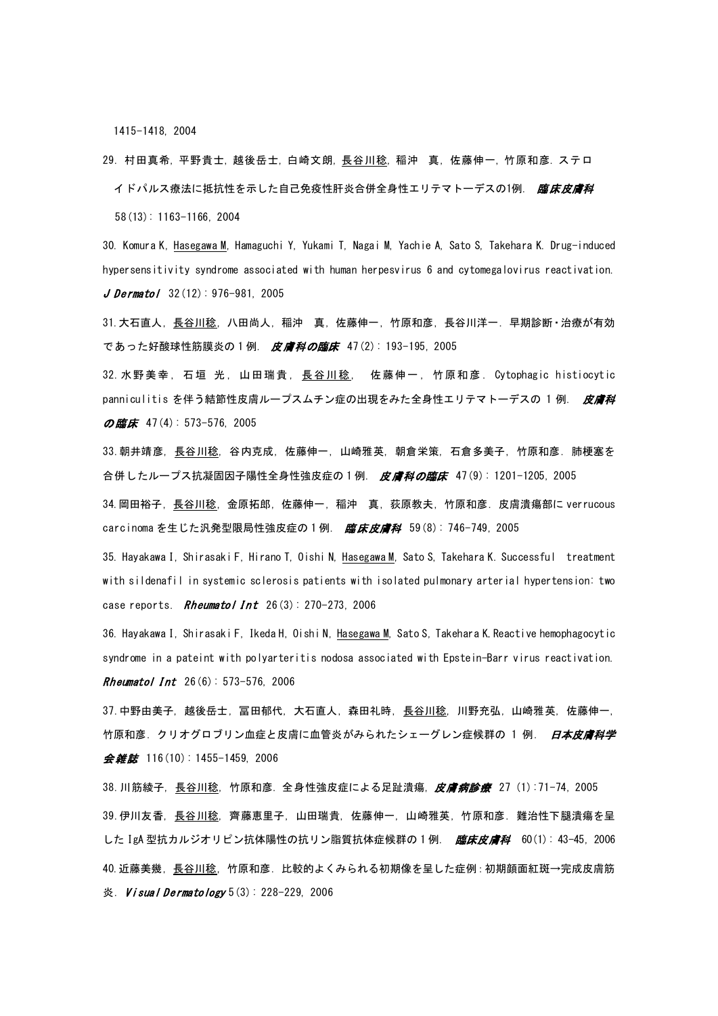1415-1418, 2004

29. 村田真希,平野貴士,越後岳士,白崎文朗,長谷川稔,稲沖 真,佐藤伸一,竹原和彦. ステロ イドパルス療法に抵抗性を示した自己免疫性肝炎合併全身性エリテマトーデスの1例. *臨床皮膚科* 58(13): 1163-1166, 2004

30. Komura K, Hasegawa M, Hamaguchi Y, Yukami T, Nagai M, Yachie A, Sato S, Takehara K. Drug-induced hypersensitivity syndrome associated with human herpesvirus 6 and cytomegalovirus reactivation. J Dermatol  $32(12): 976-981, 2005$ 

31.大石直人, 長谷川稔, 八田尚人, 稲沖 真, 佐藤伸一, 竹原和彦, 長谷川洋一. 早期診断・治療が有効 であった好酸球性筋膜炎の 1 例. 皮膚科の臨床 47(2): 193-195, 2005

32.水野美幸, 石垣 光, 山田瑞貴, 長谷川稔, 佐藤伸一, 竹原和彦. Cytophagic histiocytic panniculitis を伴う結節性皮膚ループスムチン症の出現をみた全身性エリテマトーデスの 1 例. 皮膚科 の臨床 47(4): 573-576, 2005

33.朝井靖彦, 長谷川稔, 谷内克成, 佐藤伸一, 山崎雅英, 朝倉栄策, 石倉多美子, 竹原和彦. 肺梗塞を 合併したループス抗凝固因子陽性全身性強皮症の 1 例. 皮膚科の臨床 47(9): 1201-1205, 2005

34.岡田裕子, 長谷川稔, 金原拓郎, 佐藤伸一, 稲沖 真, 荻原教夫, 竹原和彦. 皮膚潰瘍部に verrucous carcinoma を生じた汎発型限局性強皮症の 1 例. *臨床皮膚科* 59(8): 746-749, 2005

35. Hayakawa I, Shirasaki F, Hirano T, Oishi N, Hasegawa M, Sato S, Takehara K. Successful treatment with sildenafil in systemic sclerosis patients with isolated pulmonary arterial hypertension: two case reports. **Rheumatol Int**  $26(3)$ : 270-273, 2006

36. Hayakawa I, Shirasaki F, Ikeda H, Oishi N, Hasegawa M, Sato S, Takehara K. Reactive hemophagocytic syndrome in a pateint with polyarteritis nodosa associated with Epstein-Barr virus reactivation. **Rheumatol Int**  $26(6): 573-576$ , 2006

37.中野由美子, 越後岳士, 冨田郁代, 大石直人, 森田礼時, 長谷川稔, 川野充弘, 山崎雅英, 佐藤伸一, 竹原和彦. クリオグロブリン血症と皮膚に血管炎がみられたシェーグレン症候群の 1 例. 日本皮膚科学 会*雑誌* 116(10): 1455-1459, 2006

38. 川筋綾子,長谷川稔,竹原和彦. 全身性強皮症による足趾潰瘍,*皮膚病診療*  27 (1):71−74, 2005 39.伊川友香, 長谷川稔, 齊藤恵里子, 山田瑞貴, 佐藤伸一, 山崎雅英, 竹原和彦. 難治性下腿潰瘍を呈 した IgA 型抗カルジオリピン抗体陽性の抗リン脂質抗体症候群の 1 例. *臨床皮膚科* 60(1): 43-45, 2006 40.近藤美幾, 長谷川稔, 竹原和彦. 比較的よくみられる初期像を呈した症例:初期顔面紅斑→完成皮膚筋 炎. *[Visual Dermatology](http://www.jamas.or.jp/user/database/Search/detail/scode/J03709)* 5(3): 228-229, 2006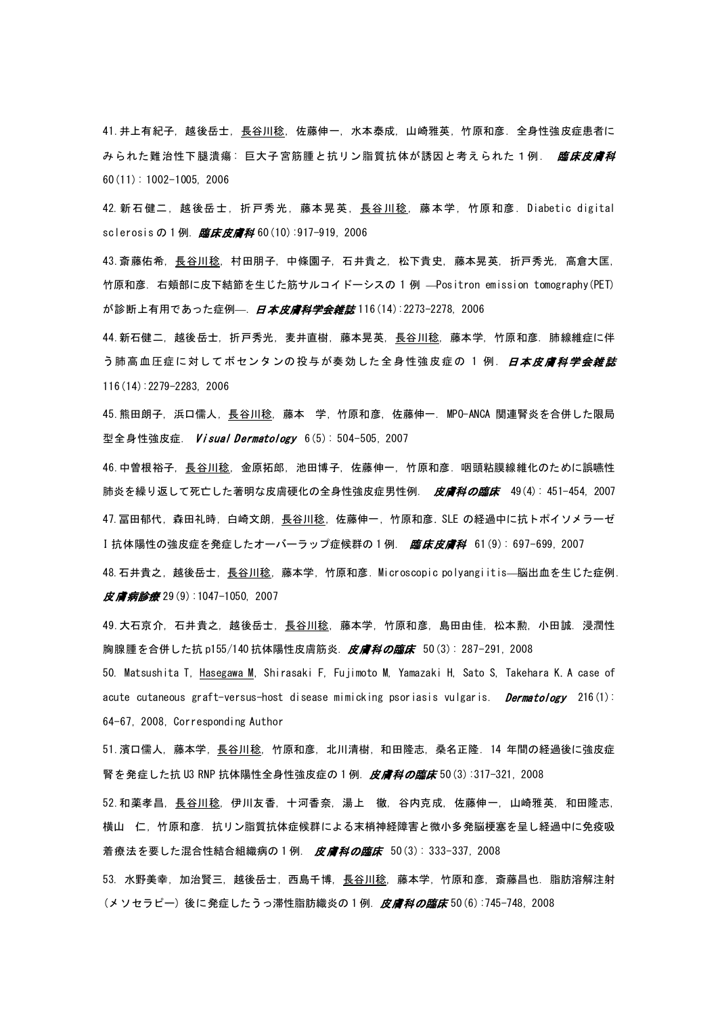41.井上有紀子, 越後岳士, 長谷川稔, 佐藤伸一, 水本泰成, 山崎雅英, 竹原和彦. 全身性強皮症患者に みられた難治性下腿潰瘍: 巨大子宮筋腫と抗リン脂質抗体が誘因と考えられた1例. *臨床皮膚科* 60(11): 1002-1005, 2006

42. 新石健二, 越後岳士, 折戸秀光, 藤本晃英, 長谷川稔, 藤本学, 竹原和彦. Diabetic digital sclerosis の 1 例. [臨床皮膚科](http://www.jamas.or.jp/user/database/Search/detail/scode/J01559) 60 (10):917-919, 2006

43.斎藤佑希, 長谷川稔, 村田朋子, 中條園子, 石井貴之, 松下貴史, 藤本晃英, 折戸秀光, 高倉大匡, 竹原和彦. 右頬部に皮下結節を生じた筋サルコイドーシスの 1 例 —Positron emission tomography(PET) が診断上有用であった症例—. [日本皮膚科学会雑誌](http://www.jamas.or.jp/user/database/Search/detail/scode/J01174) 116(14):2273-2278, 2006

44.新石健二, 越後岳士, 折戸秀光, 麦井直樹, 藤本晃英, 長谷川稔, 藤本学, 竹原和彦. 肺線維症に伴 う肺高血圧症に対してボセンタンの投与が奏効した全身性強皮症の 1 例. *[日本皮膚科学会雑誌](http://www.jamas.or.jp/user/database/Search/detail/scode/J01174)* 116(14):2279-2283, 2006

45. 熊田朗子, 浜口儒人, <u>長谷川稔,</u> 藤本 学, 竹原和彦, 佐藤伸一. MPO-ANCA 関連腎炎を合併した限局 型全身性強皮症. Visual Dermatology 6(5): 504-505, 2007

46.中曽根裕子, 長谷川稔, 金原拓郎, 池田博子, 佐藤伸一, 竹原和彦. 咽頭粘膜線維化のために誤嚥性 肺炎を繰り返して死亡した著明な皮膚硬化の全身性強皮症男性例. 皮膚科の臨床 49(4):451-454,2007 47. 冨田郁代, 森田礼時, 白崎文朗, 長谷川稔, 佐藤伸一, 竹原和彦. SLE の経過中に抗トポイソメラーゼ I 抗体陽性の強皮症を発症したオーバーラップ症候群の1例. 臨床皮膚科 61(9): 697-699, 2007

48.石井貴之, 越後岳士, 長谷川稔, 藤本学, 竹原和彦. Microscopic polyangiitis—脳出血を生じた症例. [皮膚病診療](http://www.jamas.or.jp/user/database/Search/detail/scode/J01268) 29(9):1047-1050, 2007

49. 大石京介, 石井貴之, 越後岳士, <u>長谷川稔,</u> 藤本学, 竹原和彦, 島田由佳, 松本勲, 小田誠. 浸潤性 胸腺腫を合併した抗 p155/140 抗体陽性皮膚筋炎. *皮膚科の臨床* 50(3): 287-291, 2008

50. Matsushita T, Hasegawa M, Shirasaki F, Fujimoto M, Yamazaki H, Sato S, Takehara K. A case of acute cutaneous graft-versus-host disease mimicking psoriasis vulgaris. Dermatology 216(1): 64-67, 2008, Corresponding Author

51.濱口儒人, 藤本学, 長谷川稔, 竹原和彦, 北川清樹, 和田隆志, 桑名正隆. 14 年間の経過後に強皮症 腎を発症した抗 U3 RNP 抗体陽性全身性強皮症の 1 例. *[皮膚科の臨床](http://www.jamas.or.jp/user/database/Search/detail/scode/J01266)* 50 (3):317-321, 2008

52.和薬孝昌, 長谷川稔, 伊川友香, 十河香奈, 湯上 徹, 谷内克成, 佐藤伸一, 山崎雅英, 和田隆志, 横山 仁, 竹原和彦. 抗リン脂質抗体症候群による末梢神経障害と微小多発脳梗塞を呈し経過中に免疫吸 着療法を要した混合性結合組織病の 1 例. 皮膚科の臨床 50(3): 333-337, 2008

53. 水野美幸, 加治賢三, 越後岳士, 西島千博, 長谷川稔, 藤本学, 竹原和彦, 斎藤昌也. 脂肪溶解注射 (メソセラピー) 後に発症したうっ滞性脂肪織炎の1例.*皮膚科の臨床* 50 (6) :745-748, 2008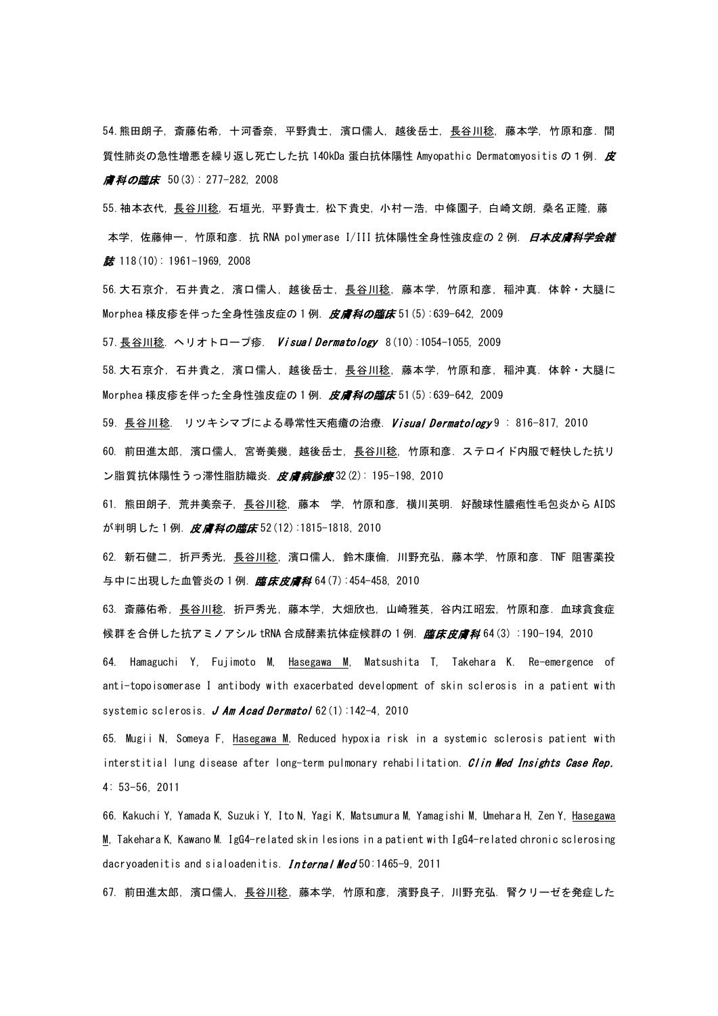54.熊田朗子, 斎藤佑希, 十河香奈, 平野貴士, 濱口儒人, 越後岳士, 長谷川稔, 藤本学, 竹原和彦. 間 質性肺炎の急性増悪を繰り返し死亡した抗 140kDa 蛋白抗体陽性 Amyopathic Dermatomyositis の1例. 皮 膚科の臨床 50(3): 277-282, 2008

55.袖本衣代, 長谷川稔, 石垣光, 平野貴士, 松下貴史, 小村一浩, 中條園子, 白崎文朗, 桑名正隆, 藤 本学, 佐藤伸一, 竹原和彦. 抗 RNA polymerase I/III 抗体陽性全身性強皮症の 2 例. *日本皮膚科学会雑*  $\frac{2}{35}$  118(10): 1961-1969, 2008

56.大石京介, 石井貴之, 濱口儒人, 越後岳士, 長谷川稔, 藤本学, 竹原和彦, 稲沖真. 体幹・大腿に Morphea 様皮疹を伴った全身性強皮症の 1 例. 皮膚科の臨床 51(5):639-642, 2009

57. 長谷川稔. ヘリオトロープ疹. Visual Dermatology 8(10):1054-1055, 2009

58.大石京介, 石井貴之, 濱口儒人, 越後岳士, 長谷川稔, 藤本学, 竹原和彦, 稲沖真. 体幹・大腿に Morphea 様皮疹を伴った全身性強皮症の 1 例. *皮膚科の臨床* 51(5):639-642, 2009

59. 長谷川稔. リツキシマブによる尋常性天疱瘡の治療. Visual Dermatology 9: 816-817, 2010

60. [前田進太郎](http://search.jamas.or.jp/api/opensearch?q=%5B%91O%93c%90i%91%BE%98Y%5D/AU), [濱口儒人](http://search.jamas.or.jp/api/opensearch?q=%5B%E0_%8C%FB%8E%F2%90l%5D/AU), [宮嵜美幾](http://search.jamas.or.jp/api/opensearch?q=%5B%8B%7B%9B%BD%94%FC%8A%F4%5D/AU), [越後岳士](http://search.jamas.or.jp/api/opensearch?q=%5B%89z%8C%E3%8Ax%8Em%5D/AU), [長谷川稔](http://search.jamas.or.jp/api/opensearch?q=%5B%92%B7%92J%90%EC%96%AB%5D/AU), [竹原和彦](http://search.jamas.or.jp/api/opensearch?q=%5B%92%7C%8C%B4%98a%95F%5D/AU). ステロイド内服で軽快した抗リ ン脂質抗体陽性うっ滞性脂肪織炎. [皮膚病診療](http://search.jamas.or.jp/index.php?cat=word&field=jn&q=%92%B7%92J%90%EC%81%40%96%AB&x=45&y=18&simple_div=on&shurui%5B0%5D=notkaigiroku&ist=0&ied=0&vol=&num=&page=&datlmt=all&dtfup=pdat&fy=&fm=&fd=&ty=&tm=&td=&module=Advanced&action=Index&sid=7&pageID=3)32(2): 195-198, 2010

61. 熊田朗子, 荒井美奈子, 長谷川稔, 藤本 学, 竹原和彦, 横川英明. 好酸球性膿疱性毛包炎から AIDS が判明した 1 例. 皮膚科の臨床 52(12):1815-1818, 2010

62. 新石健二, 折戸秀光, 長谷川稔, 濱口儒人, 鈴木康倫, 川野充弘, 藤本学, 竹原和彦. TNF 阻害薬投 与中に出現した血管炎の1例. [臨床皮膚科](http://www.jamas.or.jp/user/database/Search/detail/scode/J01559) 64(7):454-458, 2010

63. 斎藤佑希, [長谷川稔](http://search.jamas.or.jp/api/opensearch?q=%5B%92%B7%92J%90%EC%96%AB%5D/AU), [折戸秀光](http://search.jamas.or.jp/api/opensearch?q=%5B%90%DC%8C%CB%8FG%8C%F5%5D/AU), [藤本学](http://search.jamas.or.jp/api/opensearch?q=%5B%93%A1%96%7B%8Aw%5D/AU), [大畑欣也](http://search.jamas.or.jp/api/opensearch?q=%5B%91%E5%94%A8%8B%D3%96%E7%5D/AU), [山崎雅英](http://search.jamas.or.jp/api/opensearch?q=%5B%8ER%8D%E8%89%EB%89p%5D/AU), [谷内江昭宏](http://search.jamas.or.jp/api/opensearch?q=%5B%92J%93%E0%8D%5D%8F%BA%8DG%5D/AU), [竹原和彦](http://search.jamas.or.jp/api/opensearch?q=%5B%92%7C%8C%B4%98a%95F%5D/AU). 血球貪食症 候群を合併した抗アミノアシル tRNA 合成酵素抗体症候群の1例.*[臨床皮膚科](http://search.jamas.or.jp/index.php?cat=word&field=jn&q=%92%B7%92J%90%EC%81%40%96%AB&x=45&y=18&simple_div=on&shurui%5B0%5D=notkaigiroku&ist=0&ied=0&vol=&num=&page=&datlmt=all&dtfup=pdat&fy=&fm=&fd=&ty=&tm=&td=&module=Advanced&action=Index&sid=7&pageID=3)* 64(3) :190-194, 2010

64. Hamaguchi Y, Fujimoto M, Hasegawa M, Matsushita T, Takehara K. Re-emergence of anti-topoisomerase I antibody with exacerbated development of skin sclerosis in a patient with systemic sclerosis.  $J$  Am Acad Dermatol 62(1):142-4, 2010

65. Mugii N, Someya F, Hasegawa M. Reduced hypoxia risk in a systemic sclerosis patient with interstitial lung disease after long-term pulmonary rehabilitation. [Clin Med Insights Case Rep](http://www.ncbi.nlm.nih.gov/pubmed/22084615). 4: 53-56, 2011

66. Kakuchi Y, Yamada K, Suzuki Y, Ito N, Yagi K, Matsumura M, Yamagishi M, Umehara H, Zen Y, Hasegawa M, Takehara K, Kawano M[. IgG4-related skin lesions in a patient with IgG4-related chronic sclerosing](http://www.ncbi.nlm.nih.gov/pubmed/21757831)  [dacryoadenitis and sialoadenitis.](http://www.ncbi.nlm.nih.gov/pubmed/21757831) Internal Med 50:1465-9, 2011

67. 前田進太郎, 濱口儒人, 長谷川稔, 藤本学, 竹原和彦, 濱野良子, 川野充弘. 腎クリーゼを発症した